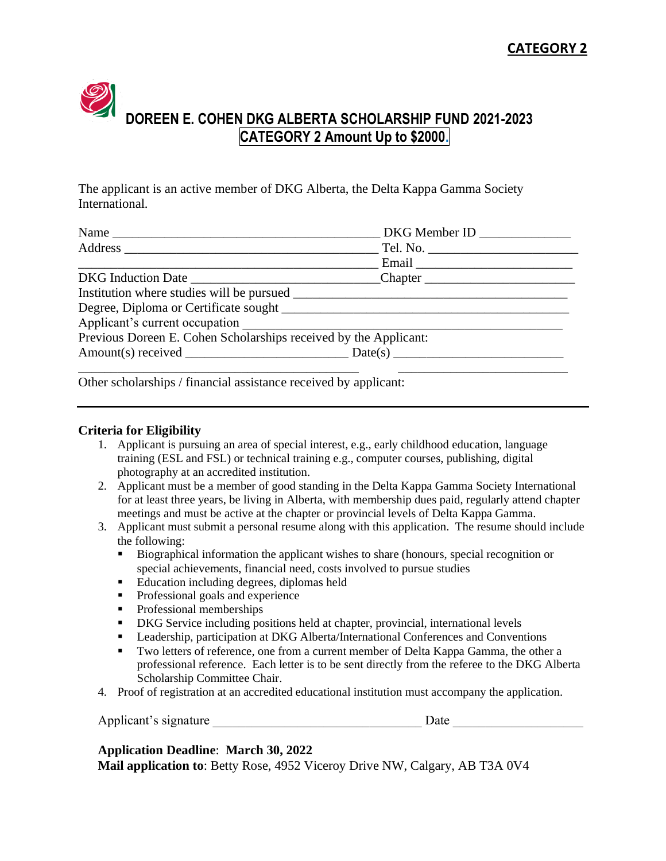

The applicant is an active member of DKG Alberta, the Delta Kappa Gamma Society International.

|                                                                                   | DKG Member ID |  |
|-----------------------------------------------------------------------------------|---------------|--|
| Address Tel. No.                                                                  |               |  |
|                                                                                   |               |  |
| DKG Induction Date __________________________________Chapter ____________________ |               |  |
|                                                                                   |               |  |
|                                                                                   |               |  |
| Applicant's current occupation                                                    |               |  |
| Previous Doreen E. Cohen Scholarships received by the Applicant:                  |               |  |
|                                                                                   |               |  |
|                                                                                   |               |  |

Other scholarships / financial assistance received by applicant:

## **Criteria for Eligibility**

- 1. Applicant is pursuing an area of special interest, e.g., early childhood education, language training (ESL and FSL) or technical training e.g., computer courses, publishing, digital photography at an accredited institution.
- 2. Applicant must be a member of good standing in the Delta Kappa Gamma Society International for at least three years, be living in Alberta, with membership dues paid, regularly attend chapter meetings and must be active at the chapter or provincial levels of Delta Kappa Gamma.
- 3. Applicant must submit a personal resume along with this application. The resume should include the following:
	- Biographical information the applicant wishes to share (honours, special recognition or special achievements, financial need, costs involved to pursue studies
	- Education including degrees, diplomas held
	- **•** Professional goals and experience
	- Professional memberships
	- **EXECU SERVICE INCO** Service including positions held at chapter, provincial, international levels
	- Leadership, participation at DKG Alberta/International Conferences and Conventions
	- Two letters of reference, one from a current member of Delta Kappa Gamma, the other a professional reference. Each letter is to be sent directly from the referee to the DKG Alberta Scholarship Committee Chair.
- 4. Proof of registration at an accredited educational institution must accompany the application.

Applicant's signature **Date Date** 

## **Application Deadline**: **March 30, 2022**

**Mail application to**: Betty Rose, 4952 Viceroy Drive NW, Calgary, AB T3A 0V4